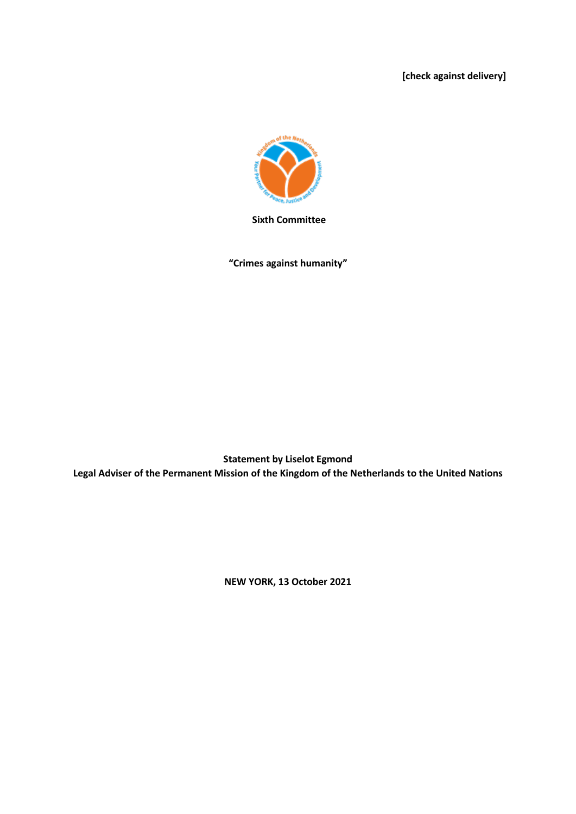**[check against delivery]**



**Sixth Committee**

**"Crimes against humanity"**

**Statement by Liselot Egmond Legal Adviser of the Permanent Mission of the Kingdom of the Netherlands to the United Nations**

**NEW YORK, 13 October 2021**